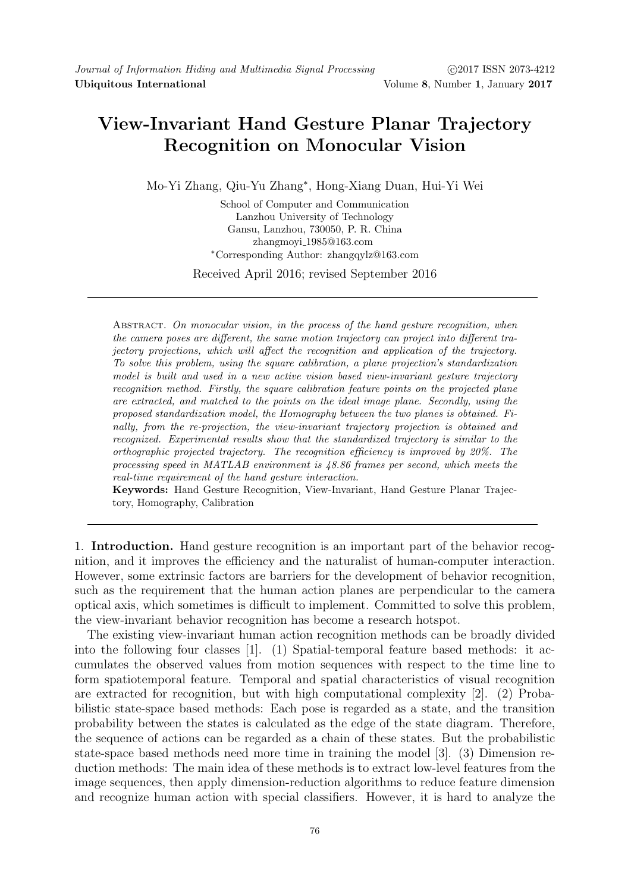## View-Invariant Hand Gesture Planar Trajectory Recognition on Monocular Vision

Mo-Yi Zhang, Qiu-Yu Zhang<sup>∗</sup> , Hong-Xiang Duan, Hui-Yi Wei

School of Computer and Communication Lanzhou University of Technology Gansu, Lanzhou, 730050, P. R. China zhangmoyi 1985@163.com <sup>∗</sup>Corresponding Author: zhangqylz@163.com

Received April 2016; revised September 2016

ABSTRACT. On monocular vision, in the process of the hand gesture recognition, when the camera poses are different, the same motion trajectory can project into different trajectory projections, which will affect the recognition and application of the trajectory. To solve this problem, using the square calibration, a plane projection's standardization model is built and used in a new active vision based view-invariant gesture trajectory recognition method. Firstly, the square calibration feature points on the projected plane are extracted, and matched to the points on the ideal image plane. Secondly, using the proposed standardization model, the Homography between the two planes is obtained. Finally, from the re-projection, the view-invariant trajectory projection is obtained and recognized. Experimental results show that the standardized trajectory is similar to the orthographic projected trajectory. The recognition efficiency is improved by 20%. The processing speed in MATLAB environment is 48.86 frames per second, which meets the real-time requirement of the hand gesture interaction.

Keywords: Hand Gesture Recognition, View-Invariant, Hand Gesture Planar Trajectory, Homography, Calibration

1. Introduction. Hand gesture recognition is an important part of the behavior recognition, and it improves the efficiency and the naturalist of human-computer interaction. However, some extrinsic factors are barriers for the development of behavior recognition, such as the requirement that the human action planes are perpendicular to the camera optical axis, which sometimes is difficult to implement. Committed to solve this problem, the view-invariant behavior recognition has become a research hotspot.

The existing view-invariant human action recognition methods can be broadly divided into the following four classes [1]. (1) Spatial-temporal feature based methods: it accumulates the observed values from motion sequences with respect to the time line to form spatiotemporal feature. Temporal and spatial characteristics of visual recognition are extracted for recognition, but with high computational complexity [2]. (2) Probabilistic state-space based methods: Each pose is regarded as a state, and the transition probability between the states is calculated as the edge of the state diagram. Therefore, the sequence of actions can be regarded as a chain of these states. But the probabilistic state-space based methods need more time in training the model [3]. (3) Dimension reduction methods: The main idea of these methods is to extract low-level features from the image sequences, then apply dimension-reduction algorithms to reduce feature dimension and recognize human action with special classifiers. However, it is hard to analyze the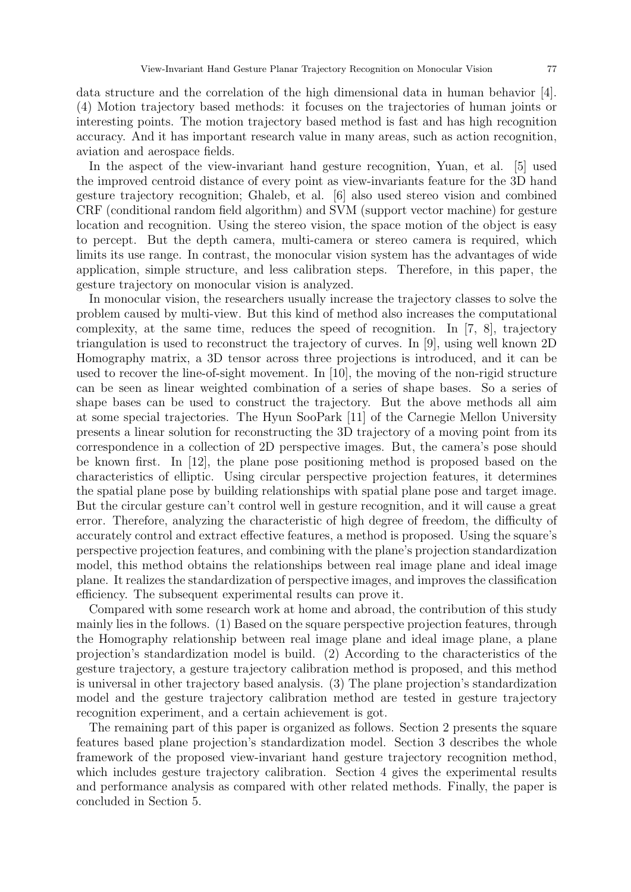data structure and the correlation of the high dimensional data in human behavior [4]. (4) Motion trajectory based methods: it focuses on the trajectories of human joints or interesting points. The motion trajectory based method is fast and has high recognition accuracy. And it has important research value in many areas, such as action recognition, aviation and aerospace fields.

In the aspect of the view-invariant hand gesture recognition, Yuan, et al. [5] used the improved centroid distance of every point as view-invariants feature for the 3D hand gesture trajectory recognition; Ghaleb, et al. [6] also used stereo vision and combined CRF (conditional random field algorithm) and SVM (support vector machine) for gesture location and recognition. Using the stereo vision, the space motion of the object is easy to percept. But the depth camera, multi-camera or stereo camera is required, which limits its use range. In contrast, the monocular vision system has the advantages of wide application, simple structure, and less calibration steps. Therefore, in this paper, the gesture trajectory on monocular vision is analyzed.

In monocular vision, the researchers usually increase the trajectory classes to solve the problem caused by multi-view. But this kind of method also increases the computational complexity, at the same time, reduces the speed of recognition. In [7, 8], trajectory triangulation is used to reconstruct the trajectory of curves. In [9], using well known 2D Homography matrix, a 3D tensor across three projections is introduced, and it can be used to recover the line-of-sight movement. In [10], the moving of the non-rigid structure can be seen as linear weighted combination of a series of shape bases. So a series of shape bases can be used to construct the trajectory. But the above methods all aim at some special trajectories. The Hyun SooPark [11] of the Carnegie Mellon University presents a linear solution for reconstructing the 3D trajectory of a moving point from its correspondence in a collection of 2D perspective images. But, the camera's pose should be known first. In [12], the plane pose positioning method is proposed based on the characteristics of elliptic. Using circular perspective projection features, it determines the spatial plane pose by building relationships with spatial plane pose and target image. But the circular gesture can't control well in gesture recognition, and it will cause a great error. Therefore, analyzing the characteristic of high degree of freedom, the difficulty of accurately control and extract effective features, a method is proposed. Using the square's perspective projection features, and combining with the plane's projection standardization model, this method obtains the relationships between real image plane and ideal image plane. It realizes the standardization of perspective images, and improves the classification efficiency. The subsequent experimental results can prove it.

Compared with some research work at home and abroad, the contribution of this study mainly lies in the follows. (1) Based on the square perspective projection features, through the Homography relationship between real image plane and ideal image plane, a plane projection's standardization model is build. (2) According to the characteristics of the gesture trajectory, a gesture trajectory calibration method is proposed, and this method is universal in other trajectory based analysis. (3) The plane projection's standardization model and the gesture trajectory calibration method are tested in gesture trajectory recognition experiment, and a certain achievement is got.

The remaining part of this paper is organized as follows. Section 2 presents the square features based plane projection's standardization model. Section 3 describes the whole framework of the proposed view-invariant hand gesture trajectory recognition method, which includes gesture trajectory calibration. Section 4 gives the experimental results and performance analysis as compared with other related methods. Finally, the paper is concluded in Section 5.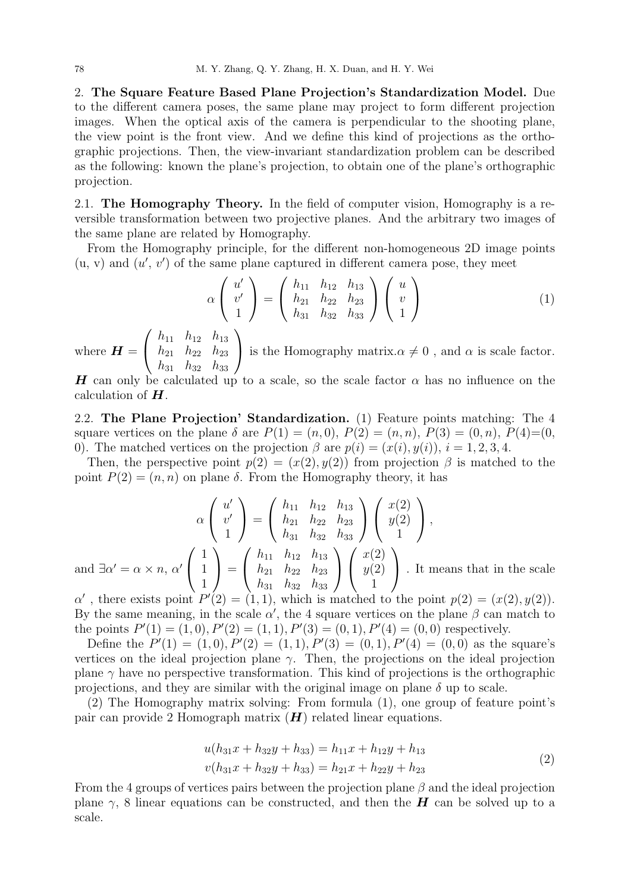2. The Square Feature Based Plane Projection's Standardization Model. Due to the different camera poses, the same plane may project to form different projection images. When the optical axis of the camera is perpendicular to the shooting plane, the view point is the front view. And we define this kind of projections as the orthographic projections. Then, the view-invariant standardization problem can be described as the following: known the plane's projection, to obtain one of the plane's orthographic projection.

2.1. The Homography Theory. In the field of computer vision, Homography is a reversible transformation between two projective planes. And the arbitrary two images of the same plane are related by Homography.

From the Homography principle, for the different non-homogeneous 2D image points  $(u, v)$  and  $(u', v')$  of the same plane captured in different camera pose, they meet

$$
\alpha \begin{pmatrix} u' \\ v' \\ 1 \end{pmatrix} = \begin{pmatrix} h_{11} & h_{12} & h_{13} \\ h_{21} & h_{22} & h_{23} \\ h_{31} & h_{32} & h_{33} \end{pmatrix} \begin{pmatrix} u \\ v \\ 1 \end{pmatrix}
$$
 (1)

where  $\boldsymbol{H} =$  $\sqrt{ }$  $\overline{1}$  $h_{11}$   $h_{12}$   $h_{13}$  $h_{21}$   $h_{22}$   $h_{23}$  $h_{31}$   $h_{32}$   $h_{33}$  $\setminus$ is the Homography matrix. $\alpha \neq 0$ , and  $\alpha$  is scale factor.

H can only be calculated up to a scale, so the scale factor  $\alpha$  has no influence on the calculation of  $H$ .

2.2. The Plane Projection' Standardization. (1) Feature points matching: The 4 square vertices on the plane  $\delta$  are  $P(1) = (n, 0), P(2) = (n, n), P(3) = (0, n), P(4) = (0,$ 0). The matched vertices on the projection  $\beta$  are  $p(i) = (x(i), y(i)), i = 1, 2, 3, 4$ .

Then, the perspective point  $p(2) = (x(2), y(2))$  from projection  $\beta$  is matched to the point  $P(2) = (n, n)$  on plane  $\delta$ . From the Homography theory, it has

$$
\alpha \begin{pmatrix} u' \\ v' \\ 1 \end{pmatrix} = \begin{pmatrix} h_{11} & h_{12} & h_{13} \\ h_{21} & h_{22} & h_{23} \\ h_{31} & h_{32} & h_{33} \end{pmatrix} \begin{pmatrix} x(2) \\ y(2) \\ 1 \end{pmatrix},
$$

$$
\begin{pmatrix} 1 \\ 1 \end{pmatrix} \begin{pmatrix} h_{11} & h_{12} & h_{13} \\ h_{11} & h_{12} & h_{13} \\ 1 \end{pmatrix} \begin{pmatrix} x(2) \\ x(2) \\ 1 \end{pmatrix}.
$$

and  $\exists \alpha' = \alpha \times n, \alpha'$  $\sqrt{ }$  $\mathcal{L}$ 1 1  $\Big\} =$  $\overline{1}$  $h_{21}$   $h_{22}$   $h_{23}$  $h_{31}$   $h_{32}$   $h_{33}$  $\overline{ }$  $\overline{1}$  $y(2)$ 1 . It means that in the scale

 $\alpha'$ , there exists point  $P'(2) = (1, 1)$ , which is matched to the point  $p(2) = (x(2), y(2))$ . By the same meaning, in the scale  $\alpha'$ , the 4 square vertices on the plane  $\beta$  can match to the points  $P'(1) = (1,0), P'(2) = (1,1), P'(3) = (0,1), P'(4) = (0,0)$  respectively.

Define the  $P'(1) = (1,0), P'(2) = (1,1), P'(3) = (0,1), P'(4) = (0,0)$  as the square's vertices on the ideal projection plane  $\gamma$ . Then, the projections on the ideal projection plane  $\gamma$  have no perspective transformation. This kind of projections is the orthographic projections, and they are similar with the original image on plane  $\delta$  up to scale.

(2) The Homography matrix solving: From formula (1), one group of feature point's pair can provide 2 Homograph matrix  $(H)$  related linear equations.

$$
u(h_{31}x + h_{32}y + h_{33}) = h_{11}x + h_{12}y + h_{13}
$$
  

$$
v(h_{31}x + h_{32}y + h_{33}) = h_{21}x + h_{22}y + h_{23}
$$
 (2)

From the 4 groups of vertices pairs between the projection plane  $\beta$  and the ideal projection plane  $\gamma$ , 8 linear equations can be constructed, and then the **H** can be solved up to a scale.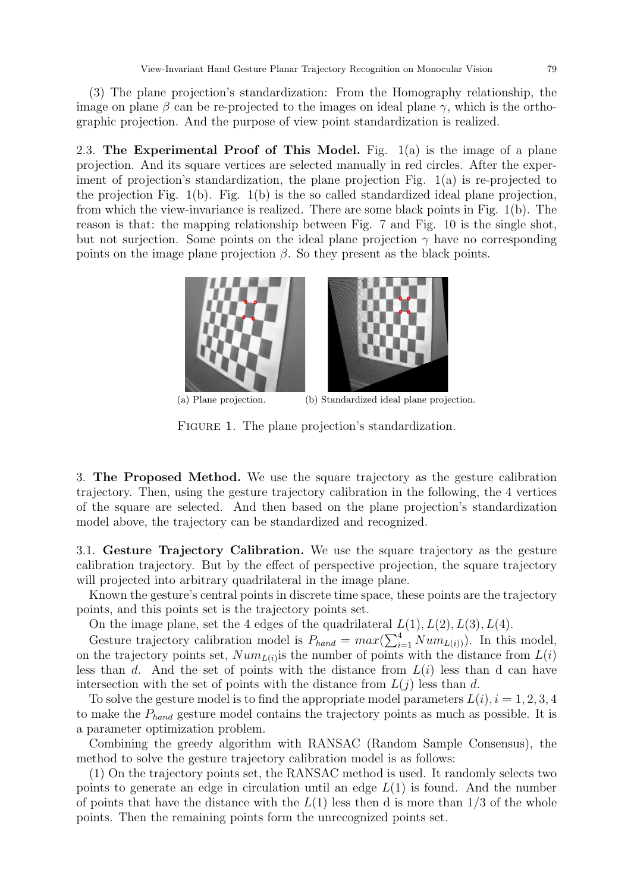(3) The plane projection's standardization: From the Homography relationship, the image on plane  $\beta$  can be re-projected to the images on ideal plane  $\gamma$ , which is the orthographic projection. And the purpose of view point standardization is realized.

2.3. The Experimental Proof of This Model. Fig.  $1(a)$  is the image of a plane projection. And its square vertices are selected manually in red circles. After the experiment of projection's standardization, the plane projection Fig. 1(a) is re-projected to the projection Fig. 1(b). Fig. 1(b) is the so called standardized ideal plane projection, from which the view-invariance is realized. There are some black points in Fig. 1(b). The reason is that: the mapping relationship between Fig. 7 and Fig. 10 is the single shot, but not surjection. Some points on the ideal plane projection  $\gamma$  have no corresponding points on the image plane projection  $\beta$ . So they present as the black points.



(a) Plane projection. (b) Standardized ideal plane projection.

FIGURE 1. The plane projection's standardization.

3. The Proposed Method. We use the square trajectory as the gesture calibration trajectory. Then, using the gesture trajectory calibration in the following, the 4 vertices of the square are selected. And then based on the plane projection's standardization model above, the trajectory can be standardized and recognized.

3.1. Gesture Trajectory Calibration. We use the square trajectory as the gesture calibration trajectory. But by the effect of perspective projection, the square trajectory will projected into arbitrary quadrilateral in the image plane.

Known the gesture's central points in discrete time space, these points are the trajectory points, and this points set is the trajectory points set.

On the image plane, set the 4 edges of the quadrilateral  $L(1), L(2), L(3), L(4)$ .

Gesture trajectory calibration model is  $P_{hand} = max(\sum_{i=1}^{4} Num_{L(i)})$ . In this model, on the trajectory points set,  $Num_{L(i)}$  is the number of points with the distance from  $L(i)$ less than d. And the set of points with the distance from  $L(i)$  less than d can have intersection with the set of points with the distance from  $L(j)$  less than d.

To solve the gesture model is to find the appropriate model parameters  $L(i)$ ,  $i = 1, 2, 3, 4$ to make the  $P_{hand}$  gesture model contains the trajectory points as much as possible. It is a parameter optimization problem.

Combining the greedy algorithm with RANSAC (Random Sample Consensus), the method to solve the gesture trajectory calibration model is as follows:

(1) On the trajectory points set, the RANSAC method is used. It randomly selects two points to generate an edge in circulation until an edge  $L(1)$  is found. And the number of points that have the distance with the  $L(1)$  less then d is more than  $1/3$  of the whole points. Then the remaining points form the unrecognized points set.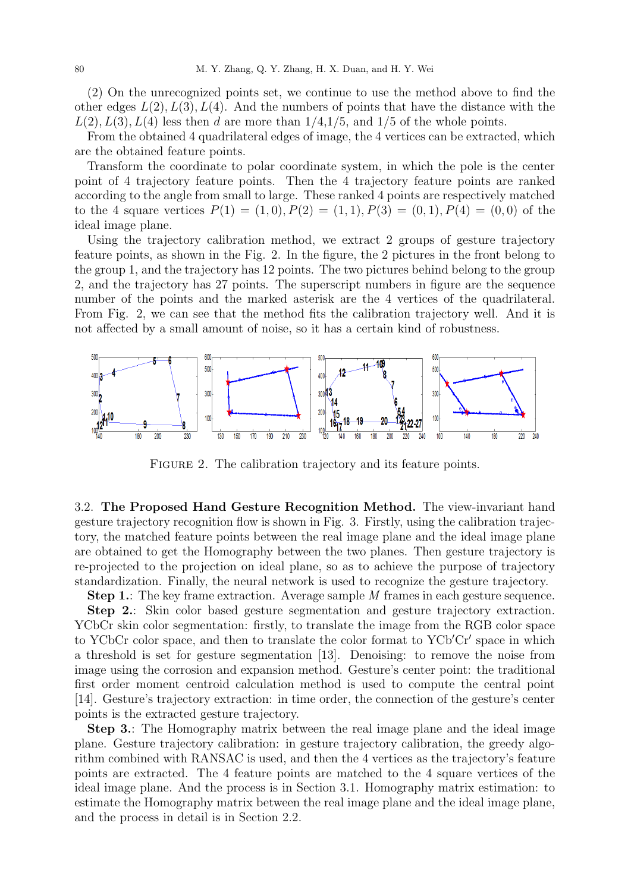(2) On the unrecognized points set, we continue to use the method above to find the other edges  $L(2)$ ,  $L(3)$ ,  $L(4)$ . And the numbers of points that have the distance with the  $L(2), L(3), L(4)$  less then d are more than  $1/4, 1/5$ , and  $1/5$  of the whole points.

From the obtained 4 quadrilateral edges of image, the 4 vertices can be extracted, which are the obtained feature points.

Transform the coordinate to polar coordinate system, in which the pole is the center point of 4 trajectory feature points. Then the 4 trajectory feature points are ranked according to the angle from small to large. These ranked 4 points are respectively matched to the 4 square vertices  $P(1) = (1,0), P(2) = (1,1), P(3) = (0,1), P(4) = (0,0)$  of the ideal image plane.

Using the trajectory calibration method, we extract 2 groups of gesture trajectory feature points, as shown in the Fig. 2. In the figure, the 2 pictures in the front belong to the group 1, and the trajectory has 12 points. The two pictures behind belong to the group 2, and the trajectory has 27 points. The superscript numbers in figure are the sequence number of the points and the marked asterisk are the 4 vertices of the quadrilateral. From Fig. 2, we can see that the method fits the calibration trajectory well. And it is not affected by a small amount of noise, so it has a certain kind of robustness.



FIGURE 2. The calibration trajectory and its feature points.

3.2. The Proposed Hand Gesture Recognition Method. The view-invariant hand gesture trajectory recognition flow is shown in Fig. 3. Firstly, using the calibration trajectory, the matched feature points between the real image plane and the ideal image plane are obtained to get the Homography between the two planes. Then gesture trajectory is re-projected to the projection on ideal plane, so as to achieve the purpose of trajectory standardization. Finally, the neural network is used to recognize the gesture trajectory.

Step 1.: The key frame extraction. Average sample M frames in each gesture sequence.

Step 2.: Skin color based gesture segmentation and gesture trajectory extraction. YCbCr skin color segmentation: firstly, to translate the image from the RGB color space to YCbCr color space, and then to translate the color format to YCb'Cr' space in which a threshold is set for gesture segmentation [13]. Denoising: to remove the noise from image using the corrosion and expansion method. Gesture's center point: the traditional first order moment centroid calculation method is used to compute the central point [14]. Gesture's trajectory extraction: in time order, the connection of the gesture's center points is the extracted gesture trajectory.

Step 3.: The Homography matrix between the real image plane and the ideal image plane. Gesture trajectory calibration: in gesture trajectory calibration, the greedy algorithm combined with RANSAC is used, and then the 4 vertices as the trajectory's feature points are extracted. The 4 feature points are matched to the 4 square vertices of the ideal image plane. And the process is in Section 3.1. Homography matrix estimation: to estimate the Homography matrix between the real image plane and the ideal image plane, and the process in detail is in Section 2.2.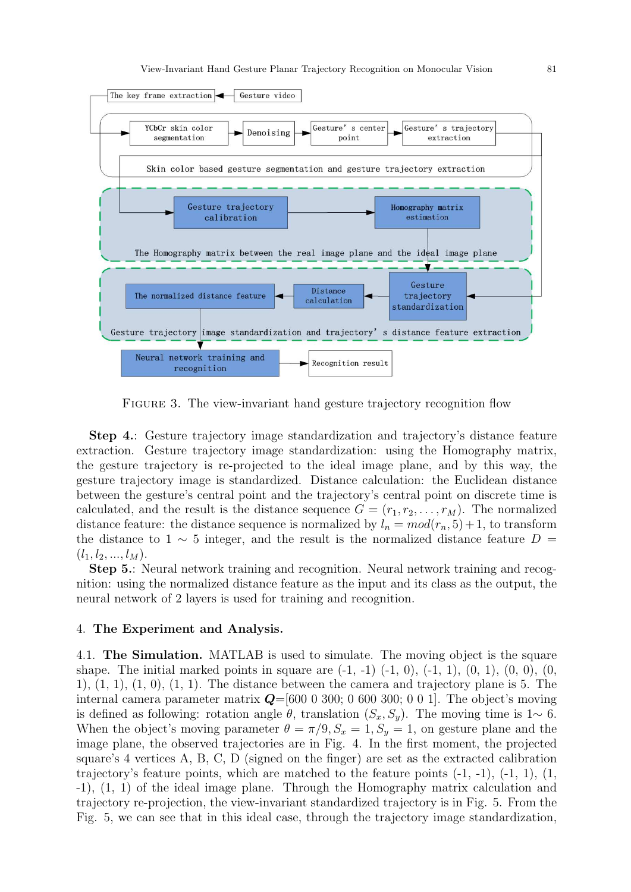

Figure 3. The view-invariant hand gesture trajectory recognition flow

Step 4.: Gesture trajectory image standardization and trajectory's distance feature extraction. Gesture trajectory image standardization: using the Homography matrix, the gesture trajectory is re-projected to the ideal image plane, and by this way, the gesture trajectory image is standardized. Distance calculation: the Euclidean distance between the gesture's central point and the trajectory's central point on discrete time is calculated, and the result is the distance sequence  $G = (r_1, r_2, \ldots, r_M)$ . The normalized distance feature: the distance sequence is normalized by  $l_n = mod(r_n, 5) + 1$ , to transform the distance to 1  $\sim$  5 integer, and the result is the normalized distance feature D =  $(l_1, l_2, ..., l_M).$ 

Step 5.: Neural network training and recognition. Neural network training and recognition: using the normalized distance feature as the input and its class as the output, the neural network of 2 layers is used for training and recognition.

## 4. The Experiment and Analysis.

4.1. The Simulation. MATLAB is used to simulate. The moving object is the square shape. The initial marked points in square are  $(-1, -1)$   $(-1, 0)$ ,  $(-1, 1)$ ,  $(0, 1)$ ,  $(0, 0)$ ,  $(0, 0)$ 1),  $(1, 1)$ ,  $(1, 0)$ ,  $(1, 1)$ . The distance between the camera and trajectory plane is 5. The internal camera parameter matrix  $\mathbf{Q}=[600\ 0\ 300; \ 0\ 600\ 300; \ 0\ 0\ 1]$ . The object's moving is defined as following: rotation angle  $\theta$ , translation  $(S_x, S_y)$ . The moving time is 1∼ 6. When the object's moving parameter  $\theta = \pi/9$ ,  $S_x = 1$ ,  $S_y = 1$ , on gesture plane and the image plane, the observed trajectories are in Fig. 4. In the first moment, the projected square's 4 vertices A, B, C, D (signed on the finger) are set as the extracted calibration trajectory's feature points, which are matched to the feature points (-1, -1), (-1, 1), (1, -1), (1, 1) of the ideal image plane. Through the Homography matrix calculation and trajectory re-projection, the view-invariant standardized trajectory is in Fig. 5. From the Fig. 5, we can see that in this ideal case, through the trajectory image standardization,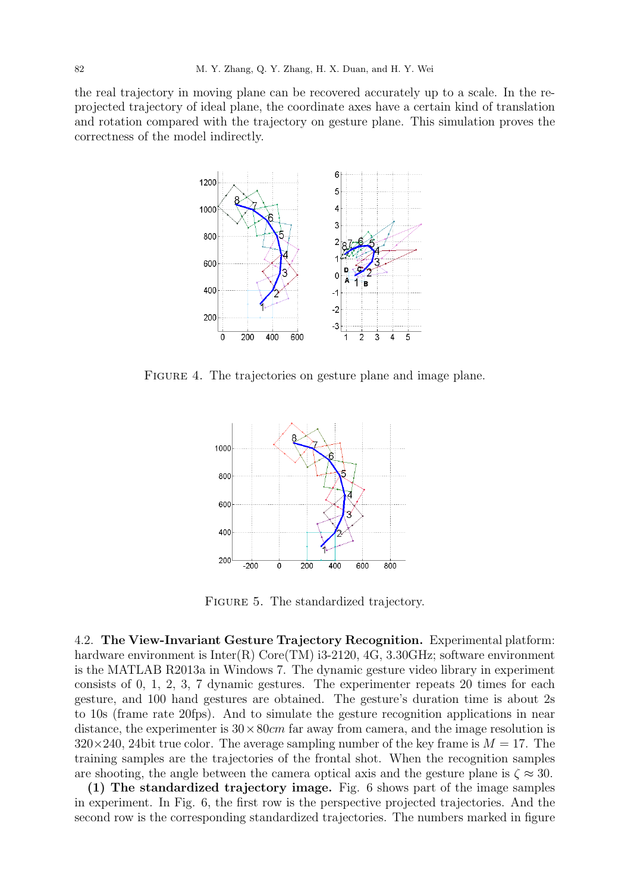the real trajectory in moving plane can be recovered accurately up to a scale. In the reprojected trajectory of ideal plane, the coordinate axes have a certain kind of translation and rotation compared with the trajectory on gesture plane. This simulation proves the correctness of the model indirectly.



FIGURE 4. The trajectories on gesture plane and image plane.



FIGURE 5. The standardized trajectory.

4.2. The View-Invariant Gesture Trajectory Recognition. Experimental platform: hardware environment is Inter(R) Core(TM) i3-2120, 4G, 3.30GHz; software environment is the MATLAB R2013a in Windows 7. The dynamic gesture video library in experiment consists of 0, 1, 2, 3, 7 dynamic gestures. The experimenter repeats 20 times for each gesture, and 100 hand gestures are obtained. The gesture's duration time is about 2s to 10s (frame rate 20fps). And to simulate the gesture recognition applications in near distance, the experimenter is  $30 \times 80 \text{cm}$  far away from camera, and the image resolution is  $320\times240$ , 24bit true color. The average sampling number of the key frame is  $M = 17$ . The training samples are the trajectories of the frontal shot. When the recognition samples are shooting, the angle between the camera optical axis and the gesture plane is  $\zeta \approx 30$ .

(1) The standardized trajectory image. Fig. 6 shows part of the image samples in experiment. In Fig. 6, the first row is the perspective projected trajectories. And the second row is the corresponding standardized trajectories. The numbers marked in figure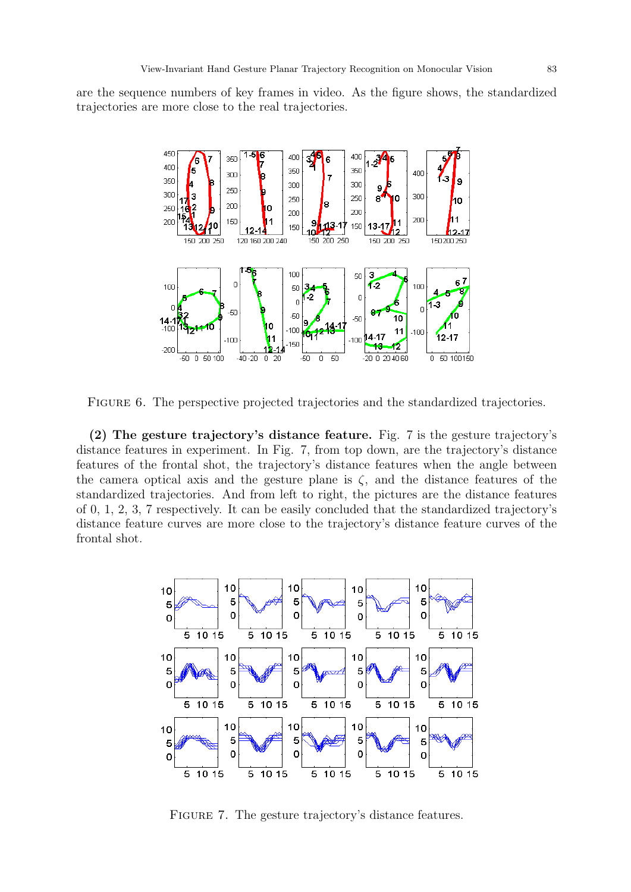are the sequence numbers of key frames in video. As the figure shows, the standardized trajectories are more close to the real trajectories.



FIGURE 6. The perspective projected trajectories and the standardized trajectories.

(2) The gesture trajectory's distance feature. Fig. 7 is the gesture trajectory's distance features in experiment. In Fig. 7, from top down, are the trajectory's distance features of the frontal shot, the trajectory's distance features when the angle between the camera optical axis and the gesture plane is  $\zeta$ , and the distance features of the standardized trajectories. And from left to right, the pictures are the distance features of 0, 1, 2, 3, 7 respectively. It can be easily concluded that the standardized trajectory's distance feature curves are more close to the trajectory's distance feature curves of the frontal shot.



FIGURE 7. The gesture trajectory's distance features.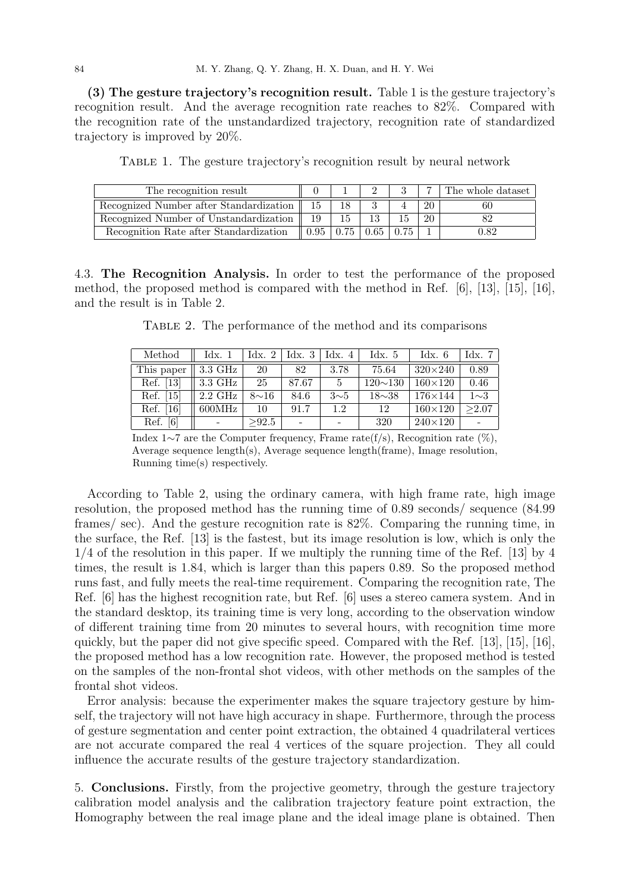(3) The gesture trajectory's recognition result. Table 1 is the gesture trajectory's recognition result. And the average recognition rate reaches to 82%. Compared with the recognition rate of the unstandardized trajectory, recognition rate of standardized trajectory is improved by 20%.

|  | TABLE 1. The gesture trajectory's recognition result by neural network |  |  |
|--|------------------------------------------------------------------------|--|--|
|  |                                                                        |  |  |

| The recognition result                  |      |      |    | The whole dataset |
|-----------------------------------------|------|------|----|-------------------|
| Recognized Number after Standardization | 15   |      | 20 | 60                |
| Recognized Number of Unstandardization  | 19   | 19.  | 20 |                   |
| Recognition Rate after Standardization  | 0.95 | 0.65 |    | 9.82              |

4.3. The Recognition Analysis. In order to test the performance of the proposed method, the proposed method is compared with the method in Ref. [6], [13], [15], [16], and the result is in Table 2.

|  | TABLE 2. The performance of the method and its comparisons |  |  |  |
|--|------------------------------------------------------------|--|--|--|
|  |                                                            |  |  |  |

| Method                     | $\rm{Idx.}$ 1    | $\rm{Idx.}$ 2 | Idx. $3$       | Idx. $4$   | Idx.5          | $\text{Idx.}6$ | Idx. 7   |
|----------------------------|------------------|---------------|----------------|------------|----------------|----------------|----------|
| This paper                 | 3.3 GHz          | 20            | 82             | 3.78       | 75.64          | $320\times240$ | 0.89     |
| Ref. [13]                  | 3.3 GHz          | 25            | 87.67          | 5          | $120 \sim 130$ | $160\times120$ | 0.46     |
| Ref. [15]                  | $2.2\text{ GHz}$ | $8\sim16$     | 84.6           | $3\sim\!5$ | $18\sim38$     | $176\times144$ | $1\sim3$ |
| $\lceil 16 \rceil$<br>Ref. | 600MHz           | 10            | 91.7           | 1.2        | 12             | $160\times120$ | >2.07    |
| Ref.<br>$\lceil 6 \rceil$  |                  | >92.5         | $\overline{a}$ |            | 320            | $240\times120$ |          |

Index 1∼7 are the Computer frequency, Frame rate(f/s), Recognition rate (%), Average sequence length(s), Average sequence length(frame), Image resolution, Running time(s) respectively.

According to Table 2, using the ordinary camera, with high frame rate, high image resolution, the proposed method has the running time of 0.89 seconds/ sequence (84.99 frames/ sec). And the gesture recognition rate is 82%. Comparing the running time, in the surface, the Ref. [13] is the fastest, but its image resolution is low, which is only the 1/4 of the resolution in this paper. If we multiply the running time of the Ref. [13] by 4 times, the result is 1.84, which is larger than this papers 0.89. So the proposed method runs fast, and fully meets the real-time requirement. Comparing the recognition rate, The Ref. [6] has the highest recognition rate, but Ref. [6] uses a stereo camera system. And in the standard desktop, its training time is very long, according to the observation window of different training time from 20 minutes to several hours, with recognition time more quickly, but the paper did not give specific speed. Compared with the Ref. [13], [15], [16], the proposed method has a low recognition rate. However, the proposed method is tested on the samples of the non-frontal shot videos, with other methods on the samples of the frontal shot videos.

Error analysis: because the experimenter makes the square trajectory gesture by himself, the trajectory will not have high accuracy in shape. Furthermore, through the process of gesture segmentation and center point extraction, the obtained 4 quadrilateral vertices are not accurate compared the real 4 vertices of the square projection. They all could influence the accurate results of the gesture trajectory standardization.

5. Conclusions. Firstly, from the projective geometry, through the gesture trajectory calibration model analysis and the calibration trajectory feature point extraction, the Homography between the real image plane and the ideal image plane is obtained. Then